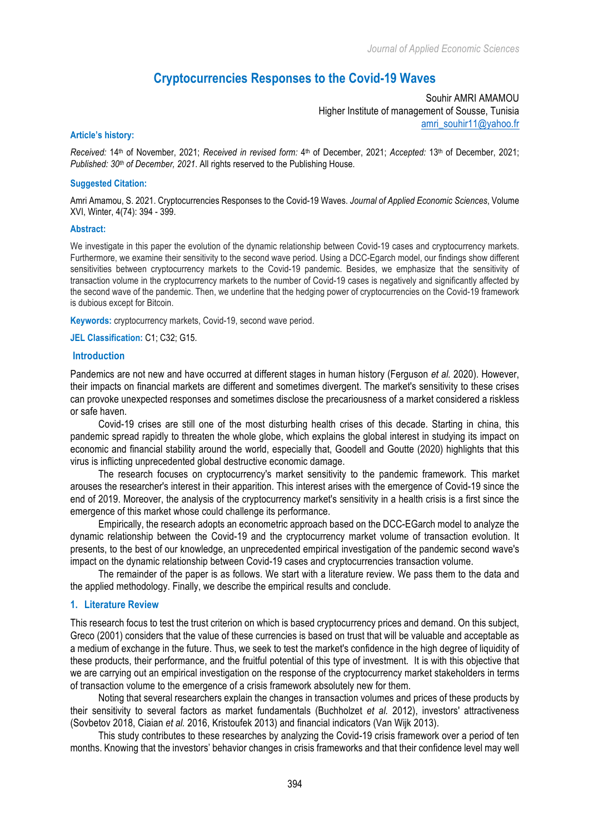# **Cryptocurrencies Responses to the Covid-19 Waves**

Souhir AMRI AMAMOU Higher Institute of management of Sousse, Tunisia amri\_souhir11@yahoo.fr

#### **Article's history:**

*Received:* 14th of November, 2021; *Received in revised form:* 4th of December, 2021; *Accepted:* 13th of December, 2021; *Published: 30th of December, 2021*. All rights reserved to the Publishing House.

### **Suggested Citation:**

Amri Amamou, S. 2021. Cryptocurrencies Responses to the Covid-19 Waves. *Journal of Applied Economic Sciences*, Volume XVI, Winter, 4(74): 394 - 399.

#### **Abstract:**

We investigate in this paper the evolution of the dynamic relationship between Covid-19 cases and cryptocurrency markets. Furthermore, we examine their sensitivity to the second wave period. Using a DCC-Egarch model, our findings show different sensitivities between cryptocurrency markets to the Covid-19 pandemic. Besides, we emphasize that the sensitivity of transaction volume in the cryptocurrency markets to the number of Covid-19 cases is negatively and significantly affected by the second wave of the pandemic. Then, we underline that the hedging power of cryptocurrencies on the Covid-19 framework is dubious except for Bitcoin.

**Keywords:** cryptocurrency markets, Covid-19, second wave period.

**JEL Classification:** C1; C32; G15.

### **Introduction**

Pandemics are not new and have occurred at different stages in human history (Ferguson *et al.* 2020). However, their impacts on financial markets are different and sometimes divergent. The market's sensitivity to these crises can provoke unexpected responses and sometimes disclose the precariousness of a market considered a riskless or safe haven.

Covid-19 crises are still one of the most disturbing health crises of this decade. Starting in china, this pandemic spread rapidly to threaten the whole globe, which explains the global interest in studying its impact on economic and financial stability around the world, especially that, Goodell and Goutte (2020) highlights that this virus is inflicting unprecedented global destructive economic damage.

The research focuses on cryptocurrency's market sensitivity to the pandemic framework. This market arouses the researcher's interest in their apparition. This interest arises with the emergence of Covid-19 since the end of 2019. Moreover, the analysis of the cryptocurrency market's sensitivity in a health crisis is a first since the emergence of this market whose could challenge its performance.

Empirically, the research adopts an econometric approach based on the DCC-EGarch model to analyze the dynamic relationship between the Covid-19 and the cryptocurrency market volume of transaction evolution. It presents, to the best of our knowledge, an unprecedented empirical investigation of the pandemic second wave's impact on the dynamic relationship between Covid-19 cases and cryptocurrencies transaction volume.

The remainder of the paper is as follows. We start with a literature review. We pass them to the data and the applied methodology. Finally, we describe the empirical results and conclude.

### **1. Literature Review**

This research focus to test the trust criterion on which is based cryptocurrency prices and demand. On this subject, Greco (2001) considers that the value of these currencies is based on trust that will be valuable and acceptable as a medium of exchange in the future. Thus, we seek to test the market's confidence in the high degree of liquidity of these products, their performance, and the fruitful potential of this type of investment. It is with this objective that we are carrying out an empirical investigation on the response of the cryptocurrency market stakeholders in terms of transaction volume to the emergence of a crisis framework absolutely new for them.

Noting that several researchers explain the changes in transaction volumes and prices of these products by their sensitivity to several factors as market fundamentals (Buchholzet *et al.* 2012), investors' attractiveness (Sovbetov 2018, Ciaian *et al.* 2016, Kristoufek 2013) and financial indicators (Van Wijk 2013).

This study contributes to these researches by analyzing the Covid-19 crisis framework over a period of ten months. Knowing that the investors' behavior changes in crisis frameworks and that their confidence level may well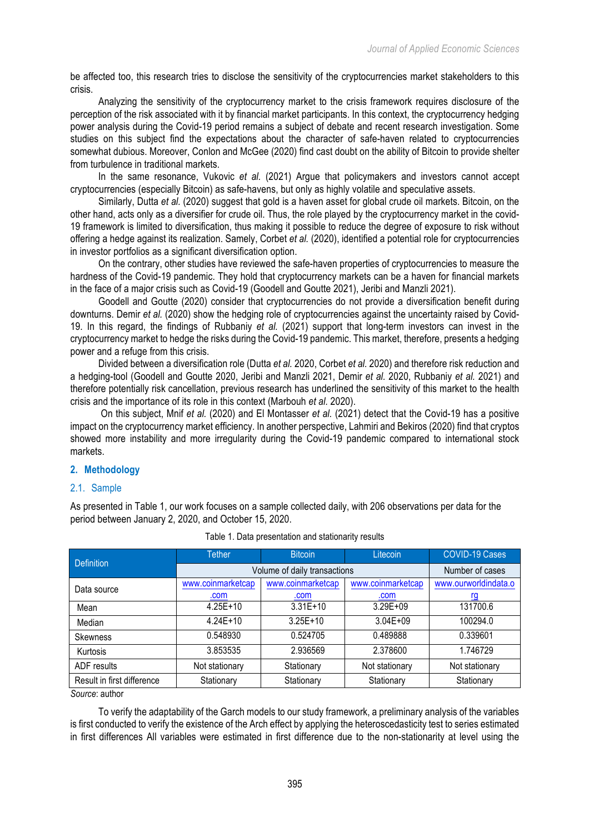be affected too, this research tries to disclose the sensitivity of the cryptocurrencies market stakeholders to this crisis.

Analyzing the sensitivity of the cryptocurrency market to the crisis framework requires disclosure of the perception of the risk associated with it by financial market participants. In this context, the cryptocurrency hedging power analysis during the Covid-19 period remains a subject of debate and recent research investigation. Some studies on this subject find the expectations about the character of safe-haven related to cryptocurrencies somewhat dubious. Moreover, Conlon and McGee (2020) find cast doubt on the ability of Bitcoin to provide shelter from turbulence in traditional markets.

In the same resonance, Vukovic *et al.* (2021) Argue that policymakers and investors cannot accept cryptocurrencies (especially Bitcoin) as safe-havens, but only as highly volatile and speculative assets.

Similarly, Dutta *et al.* (2020) suggest that gold is a haven asset for global crude oil markets. Bitcoin, on the other hand, acts only as a diversifier for crude oil. Thus, the role played by the cryptocurrency market in the covid-19 framework is limited to diversification, thus making it possible to reduce the degree of exposure to risk without offering a hedge against its realization. Samely, Corbet *et al.* (2020), identified a potential role for cryptocurrencies in investor portfolios as a significant diversification option.

On the contrary, other studies have reviewed the safe-haven properties of cryptocurrencies to measure the hardness of the Covid-19 pandemic. They hold that cryptocurrency markets can be a haven for financial markets in the face of a major crisis such as Covid-19 (Goodell and Goutte 2021), Jeribi and Manzli 2021).

Goodell and Goutte (2020) consider that cryptocurrencies do not provide a diversification benefit during downturns. Demir *et al.* (2020) show the hedging role of cryptocurrencies against the uncertainty raised by Covid-19. In this regard, the findings of Rubbaniy *et al.* (2021) support that long-term investors can invest in the cryptocurrency market to hedge the risks during the Covid-19 pandemic. This market, therefore, presents a hedging power and a refuge from this crisis.

Divided between a diversification role (Dutta *et al.* 2020, Corbet *et al.* 2020) and therefore risk reduction and a hedging-tool (Goodell and Goutte 2020, Jeribi and Manzli 2021, Demir *et al.* 2020, Rubbaniy *et al.* 2021) and therefore potentially risk cancellation, previous research has underlined the sensitivity of this market to the health crisis and the importance of its role in this context (Marbouh *et al.* 2020).

On this subject, Mnif *et al.* (2020) and El Montasser *et al.* (2021) detect that the Covid-19 has a positive impact on the cryptocurrency market efficiency. In another perspective, Lahmiri and Bekiros (2020) find that cryptos showed more instability and more irregularity during the Covid-19 pandemic compared to international stock markets.

### **2. Methodology**

### 2.1. Sample

As presented in Table 1, our work focuses on a sample collected daily, with 206 observations per data for the period between January 2, 2020, and October 15, 2020.

| <b>Definition</b>          | <b>Tether</b>                | <b>Bitcoin</b>    | Litecoin          | <b>COVID-19 Cases</b> |
|----------------------------|------------------------------|-------------------|-------------------|-----------------------|
|                            | Volume of daily transactions |                   |                   | Number of cases       |
| Data source                | www.coinmarketcap            | www.coinmarketcap | www.coinmarketcap | www.ourworldindata.o  |
|                            | .com                         | .com              | .com              | rq                    |
| Mean                       | $4.25E+10$                   | $3.31E+10$        | $3.29E + 09$      | 131700.6              |
| Median                     | $4.24E+10$                   | $3.25E+10$        | $3.04E + 09$      | 100294.0              |
| Skewness                   | 0.548930                     | 0.524705          | 0.489888          | 0.339601              |
| Kurtosis                   | 3.853535                     | 2.936569          | 2.378600          | 1.746729              |
| ADF results                | Not stationary               | Stationary        | Not stationary    | Not stationary        |
| Result in first difference | Stationary                   | Stationary        | Stationary        | Stationary            |

## Table 1. Data presentation and stationarity results

*Source*: author

To verify the adaptability of the Garch models to our study framework, a preliminary analysis of the variables is first conducted to verify the existence of the Arch effect by applying the heteroscedasticity test to series estimated in first differences All variables were estimated in first difference due to the non-stationarity at level using the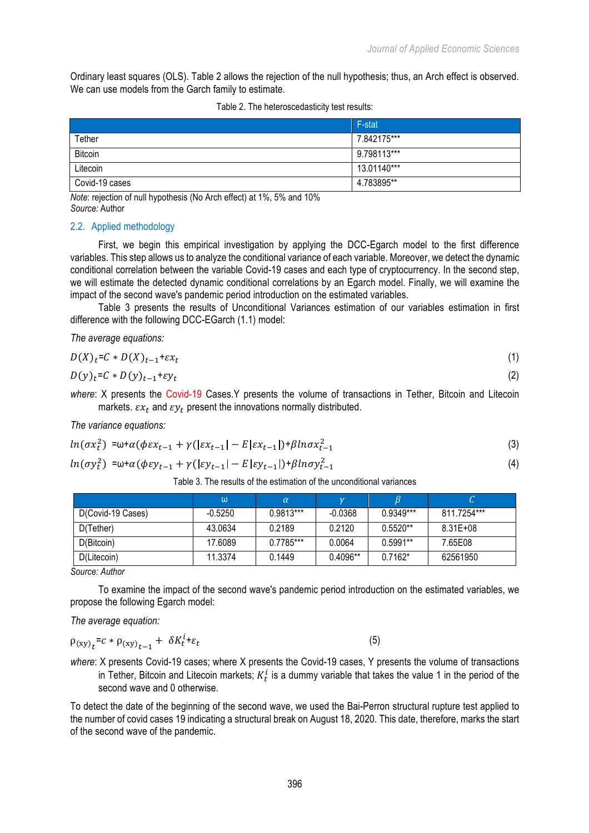Ordinary least squares (OLS). Table 2 allows the rejection of the null hypothesis; thus, an Arch effect is observed. We can use models from the Garch family to estimate.

|  | Table 2. The heteroscedasticity test results: |  |
|--|-----------------------------------------------|--|
|  |                                               |  |

|                | F-stat        |
|----------------|---------------|
| Tether         | 7.842175***   |
| <b>Bitcoin</b> | 9.798113***   |
| Litecoin       | $13.01140***$ |
| Covid-19 cases | 4.783895**    |

*Note*: rejection of null hypothesis (No Arch effect) at 1%, 5% and 10% *Source:* Author

### 2.2. Applied methodology

First, we begin this empirical investigation by applying the DCC-Egarch model to the first difference variables. This step allows us to analyze the conditional variance of each variable. Moreover, we detect the dynamic conditional correlation between the variable Covid-19 cases and each type of cryptocurrency. In the second step, we will estimate the detected dynamic conditional correlations by an Egarch model. Finally, we will examine the impact of the second wave's pandemic period introduction on the estimated variables.

Table 3 presents the results of Unconditional Variances estimation of our variables estimation in first difference with the following DCC-EGarch (1.1) model:

*The average equations:*

$$
D(X)t=C*D(X)t-1+\varepsilon xt
$$
\n(1)

$$
D(y)_t = C * D(y)_{t-1} + \varepsilon y_t \tag{2}
$$

*where*: X presents the Covid-19 Cases.Y presents the volume of transactions in Tether, Bitcoin and Litecoin markets.  $\varepsilon x_t$  and  $\varepsilon y_t$  present the innovations normally distributed.

*The variance equations:*

$$
ln(\sigma x_t^2) = \omega + \alpha(\phi \varepsilon x_{t-1} + \gamma(|\varepsilon x_{t-1}| - E|\varepsilon x_{t-1}|) + \beta ln \sigma x_{t-1}^2
$$
\n(3)

$$
ln(\sigma y_t^2) = \omega + \alpha(\phi \varepsilon y_{t-1} + \gamma(|\varepsilon y_{t-1}| - E|\varepsilon y_{t-1}|) + \beta ln \sigma y_{t-1}^2
$$
\n(4)

Table 3. The results of the estimation of the unconditional variances

|                   | ω         | $\alpha$    |            |             |              |
|-------------------|-----------|-------------|------------|-------------|--------------|
| D(Covid-19 Cases) | $-0.5250$ | $0.9813***$ | $-0.0368$  | $0.9349***$ | 811.7254***  |
| D(Tether)         | 43.0634   | 0.2189      | 0.2120     | $0.5520**$  | $8.31E + 08$ |
| D(Bitcoin)        | 17.6089   | $0.7785***$ | 0.0064     | $0.5991**$  | 7.65F08      |
| D(Litecoin)       | 11.3374   | 0.1449      | $0.4096**$ | $0.7162*$   | 62561950     |

*Source: Author*

To examine the impact of the second wave's pandemic period introduction on the estimated variables, we propose the following Egarch model:

*The average equation:*

$$
\rho_{(xy)}_t = c * \rho_{(xy)}_{t-1} + \delta K_t^i + \varepsilon_t \tag{5}
$$

*where*: X presents Covid-19 cases; where X presents the Covid-19 cases, Y presents the volume of transactions in Tether, Bitcoin and Litecoin markets;  $K_t^i$  is a dummy variable that takes the value 1 in the period of the second wave and 0 otherwise.

To detect the date of the beginning of the second wave, we used the Bai-Perron structural rupture test applied to the number of covid cases 19 indicating a structural break on August 18, 2020. This date, therefore, marks the start of the second wave of the pandemic.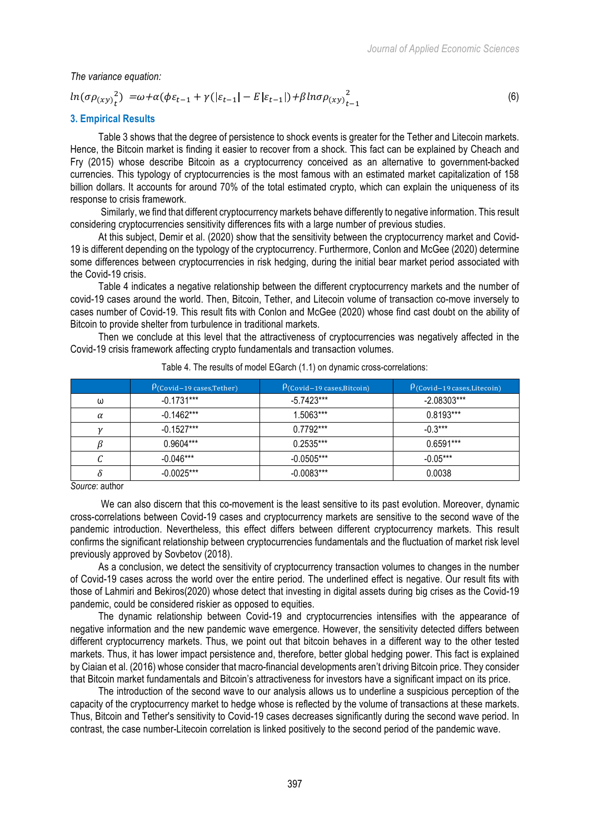*The variance equation:*

$$
\ln(\sigma \rho_{(xy)}^2) = \omega + \alpha(\phi \varepsilon_{t-1} + \gamma(|\varepsilon_{t-1}| - E|\varepsilon_{t-1}|) + \beta \ln \sigma \rho_{(xy)}^2_{t-1}
$$
(6)

#### **3. Empirical Results**

Table 3 shows that the degree of persistence to shock events is greater for the Tether and Litecoin markets. Hence, the Bitcoin market is finding it easier to recover from a shock. This fact can be explained by Cheach and Fry (2015) whose describe Bitcoin as a cryptocurrency conceived as an alternative to government-backed currencies. This typology of cryptocurrencies is the most famous with an estimated market capitalization of 158 billion dollars. It accounts for around 70% of the total estimated crypto, which can explain the uniqueness of its response to crisis framework.

Similarly, we find that different cryptocurrency markets behave differently to negative information. This result considering cryptocurrencies sensitivity differences fits with a large number of previous studies.

At this subject, Demir et al. (2020) show that the sensitivity between the cryptocurrency market and Covid-19 is different depending on the typology of the cryptocurrency. Furthermore, Conlon and McGee (2020) determine some differences between cryptocurrencies in risk hedging, during the initial bear market period associated with the Covid-19 crisis.

Table 4 indicates a negative relationship between the different cryptocurrency markets and the number of covid-19 cases around the world. Then, Bitcoin, Tether, and Litecoin volume of transaction co-move inversely to cases number of Covid-19. This result fits with Conlon and McGee (2020) whose find cast doubt on the ability of Bitcoin to provide shelter from turbulence in traditional markets.

Then we conclude at this level that the attractiveness of cryptocurrencies was negatively affected in the Covid-19 crisis framework affecting crypto fundamentals and transaction volumes.

|          | $P$ (Covid-19 cases, Tether) | $P$ (Covid-19 cases, Bitcoin) | $P$ (Covid-19 cases, Litecoin) |
|----------|------------------------------|-------------------------------|--------------------------------|
| ω        | $-0.1731***$                 | $-5.7423***$                  | $-2.08303***$                  |
| $\alpha$ | $-0.1462***$                 | 1.5063***                     | $0.8193***$                    |
|          | $-0.1527***$                 | $0.7792***$                   | $-0.3***$                      |
|          | $0.9604***$                  | $0.2535***$                   | $0.6591***$                    |
| ι.       | $-0.046***$                  | $-0.0505***$                  | $-0.05***$                     |
| Ω        | $-0.0025***$                 | $-0.0083***$                  | 0.0038                         |

Table 4. The results of model EGarch (1.1) on dynamic cross-correlations:

*Source*: author

We can also discern that this co-movement is the least sensitive to its past evolution. Moreover, dynamic cross-correlations between Covid-19 cases and cryptocurrency markets are sensitive to the second wave of the pandemic introduction. Nevertheless, this effect differs between different cryptocurrency markets. This result confirms the significant relationship between cryptocurrencies fundamentals and the fluctuation of market risk level previously approved by Sovbetov (2018).

As a conclusion, we detect the sensitivity of cryptocurrency transaction volumes to changes in the number of Covid-19 cases across the world over the entire period. The underlined effect is negative. Our result fits with those of Lahmiri and Bekiros(2020) whose detect that investing in digital assets during big crises as the Covid-19 pandemic, could be considered riskier as opposed to equities.

The dynamic relationship between Covid-19 and cryptocurrencies intensifies with the appearance of negative information and the new pandemic wave emergence. However, the sensitivity detected differs between different cryptocurrency markets. Thus, we point out that bitcoin behaves in a different way to the other tested markets. Thus, it has lower impact persistence and, therefore, better global hedging power. This fact is explained by Ciaian et al. (2016) whose consider that macro-financial developments aren't driving Bitcoin price. They consider that Bitcoin market fundamentals and Bitcoin's attractiveness for investors have a significant impact on its price.

The introduction of the second wave to our analysis allows us to underline a suspicious perception of the capacity of the cryptocurrency market to hedge whose is reflected by the volume of transactions at these markets. Thus, Bitcoin and Tether's sensitivity to Covid-19 cases decreases significantly during the second wave period. In contrast, the case number-Litecoin correlation is linked positively to the second period of the pandemic wave.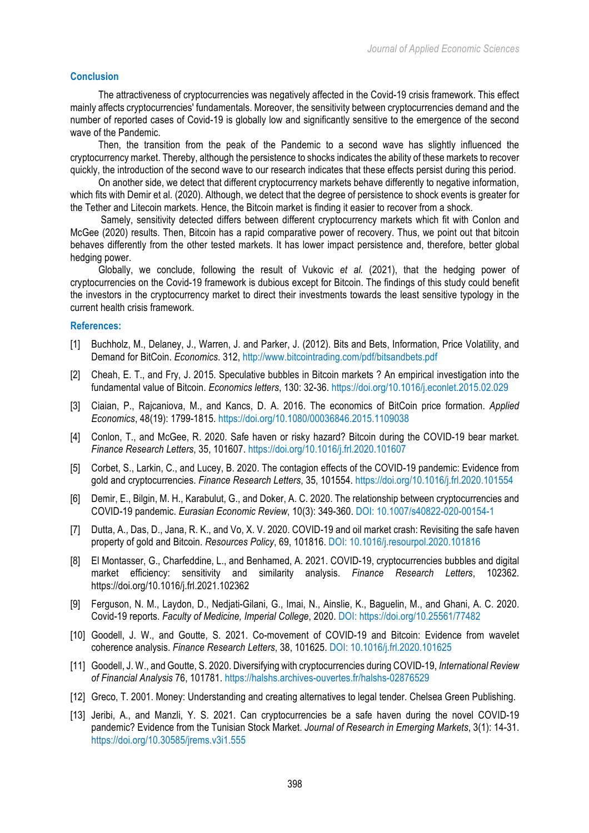### **Conclusion**

The attractiveness of cryptocurrencies was negatively affected in the Covid-19 crisis framework. This effect mainly affects cryptocurrencies' fundamentals. Moreover, the sensitivity between cryptocurrencies demand and the number of reported cases of Covid-19 is globally low and significantly sensitive to the emergence of the second wave of the Pandemic.

Then, the transition from the peak of the Pandemic to a second wave has slightly influenced the cryptocurrency market. Thereby, although the persistence to shocks indicates the ability of these markets to recover quickly, the introduction of the second wave to our research indicates that these effects persist during this period.

On another side, we detect that different cryptocurrency markets behave differently to negative information, which fits with Demir et al. (2020). Although, we detect that the degree of persistence to shock events is greater for the Tether and Litecoin markets. Hence, the Bitcoin market is finding it easier to recover from a shock.

Samely, sensitivity detected differs between different cryptocurrency markets which fit with Conlon and McGee (2020) results. Then, Bitcoin has a rapid comparative power of recovery. Thus, we point out that bitcoin behaves differently from the other tested markets. It has lower impact persistence and, therefore, better global hedging power.

Globally, we conclude, following the result of Vukovic *et al.* (2021), that the hedging power of cryptocurrencies on the Covid-19 framework is dubious except for Bitcoin. The findings of this study could benefit the investors in the cryptocurrency market to direct their investments towards the least sensitive typology in the current health crisis framework.

#### **References:**

- [1] Buchholz, M., Delaney, J., Warren, J. and Parker, J. (2012). Bits and Bets, Information, Price Volatility, and Demand for BitCoin. *Economics*. 312, http://www.bitcointrading.com/pdf/bitsandbets.pdf
- [2] Cheah, E. T., and Fry, J. 2015. Speculative bubbles in Bitcoin markets ? An empirical investigation into the fundamental value of Bitcoin. *Economics letters*, 130: 32-36. https://doi.org/10.1016/j.econlet.2015.02.029
- [3] Ciaian, P., Rajcaniova, M., and Kancs, D. A. 2016. The economics of BitCoin price formation. *Applied Economics*, 48(19): 1799-1815. https://doi.org/10.1080/00036846.2015.1109038
- [4] Conlon, T., and McGee, R. 2020. Safe haven or risky hazard? Bitcoin during the COVID-19 bear market. *Finance Research Letters*, 35, 101607. https://doi.org/10.1016/j.frl.2020.101607
- [5] Corbet, S., Larkin, C., and Lucey, B. 2020. The contagion effects of the COVID-19 pandemic: Evidence from gold and cryptocurrencies. *Finance Research Letters*, 35, 101554. https://doi.org/10.1016/j.frl.2020.101554
- [6] Demir, E., Bilgin, M. H., Karabulut, G., and Doker, A. C. 2020. The relationship between cryptocurrencies and COVID-19 pandemic. *Eurasian Economic Review*, 10(3): 349-360. DOI: 10.1007/s40822-020-00154-1
- [7] Dutta, A., Das, D., Jana, R. K., and Vo, X. V. 2020. COVID-19 and oil market crash: Revisiting the safe haven property of gold and Bitcoin. *Resources Policy*, 69, 101816. DOI: 10.1016/j.resourpol.2020.101816
- [8] El Montasser, G., Charfeddine, L., and Benhamed, A. 2021. COVID-19, cryptocurrencies bubbles and digital market efficiency: sensitivity and similarity analysis. *Finance Research Letters*, 102362. https://doi.org/10.1016/j.frl.2021.102362
- [9] Ferguson, N. M., Laydon, D., Nedjati-Gilani, G., Imai, N., Ainslie, K., Baguelin, M., and Ghani, A. C. 2020. Covid-19 reports. *Faculty of Medicine, Imperial College*, 2020. DOI: https://doi.org/10.25561/77482
- [10] Goodell, J. W., and Goutte, S. 2021. Co-movement of COVID-19 and Bitcoin: Evidence from wavelet coherence analysis. *Finance Research Letters*, 38, 101625. DOI: 10.1016/j.frl.2020.101625
- [11] Goodell, J. W., and Goutte, S. 2020. Diversifying with cryptocurrencies during COVID-19, *International Review of Financial Analysis* 76, 101781. https://halshs.archives-ouvertes.fr/halshs-02876529
- [12] Greco, T. 2001. Money: Understanding and creating alternatives to legal tender. Chelsea Green Publishing.
- [13] Jeribi, A., and Manzli, Y. S. 2021. Can cryptocurrencies be a safe haven during the novel COVID-19 pandemic? Evidence from the Tunisian Stock Market. *Journal of Research in Emerging Markets*, 3(1): 14-31. https://doi.org/10.30585/jrems.v3i1.555